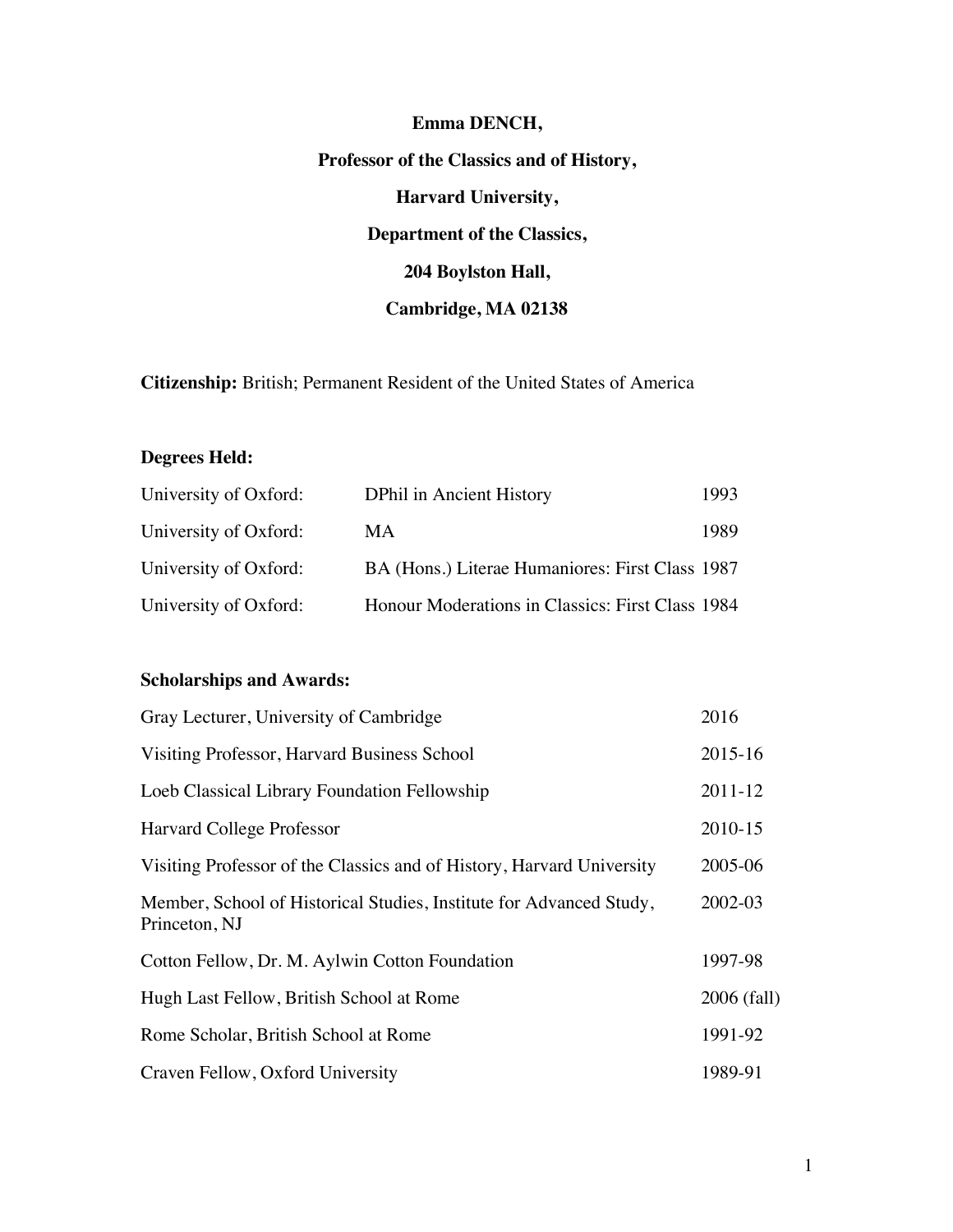# **Emma DENCH, Professor of the Classics and of History, Harvard University, Department of the Classics, 204 Boylston Hall, Cambridge, MA 02138**

**Citizenship:** British; Permanent Resident of the United States of America

# **Degrees Held:**

| University of Oxford: | <b>DPhil in Ancient History</b>                  | 1993 |
|-----------------------|--------------------------------------------------|------|
| University of Oxford: | МA                                               | 1989 |
| University of Oxford: | BA (Hons.) Literae Humaniores: First Class 1987  |      |
| University of Oxford: | Honour Moderations in Classics: First Class 1984 |      |

# **Scholarships and Awards:**

| Gray Lecturer, University of Cambridge                                               | 2016        |
|--------------------------------------------------------------------------------------|-------------|
| Visiting Professor, Harvard Business School                                          | 2015-16     |
| Loeb Classical Library Foundation Fellowship                                         | 2011-12     |
| Harvard College Professor                                                            | 2010-15     |
| Visiting Professor of the Classics and of History, Harvard University                | 2005-06     |
| Member, School of Historical Studies, Institute for Advanced Study,<br>Princeton, NJ | 2002-03     |
| Cotton Fellow, Dr. M. Aylwin Cotton Foundation                                       | 1997-98     |
| Hugh Last Fellow, British School at Rome                                             | 2006 (fall) |
| Rome Scholar, British School at Rome                                                 | 1991-92     |
| Craven Fellow, Oxford University                                                     |             |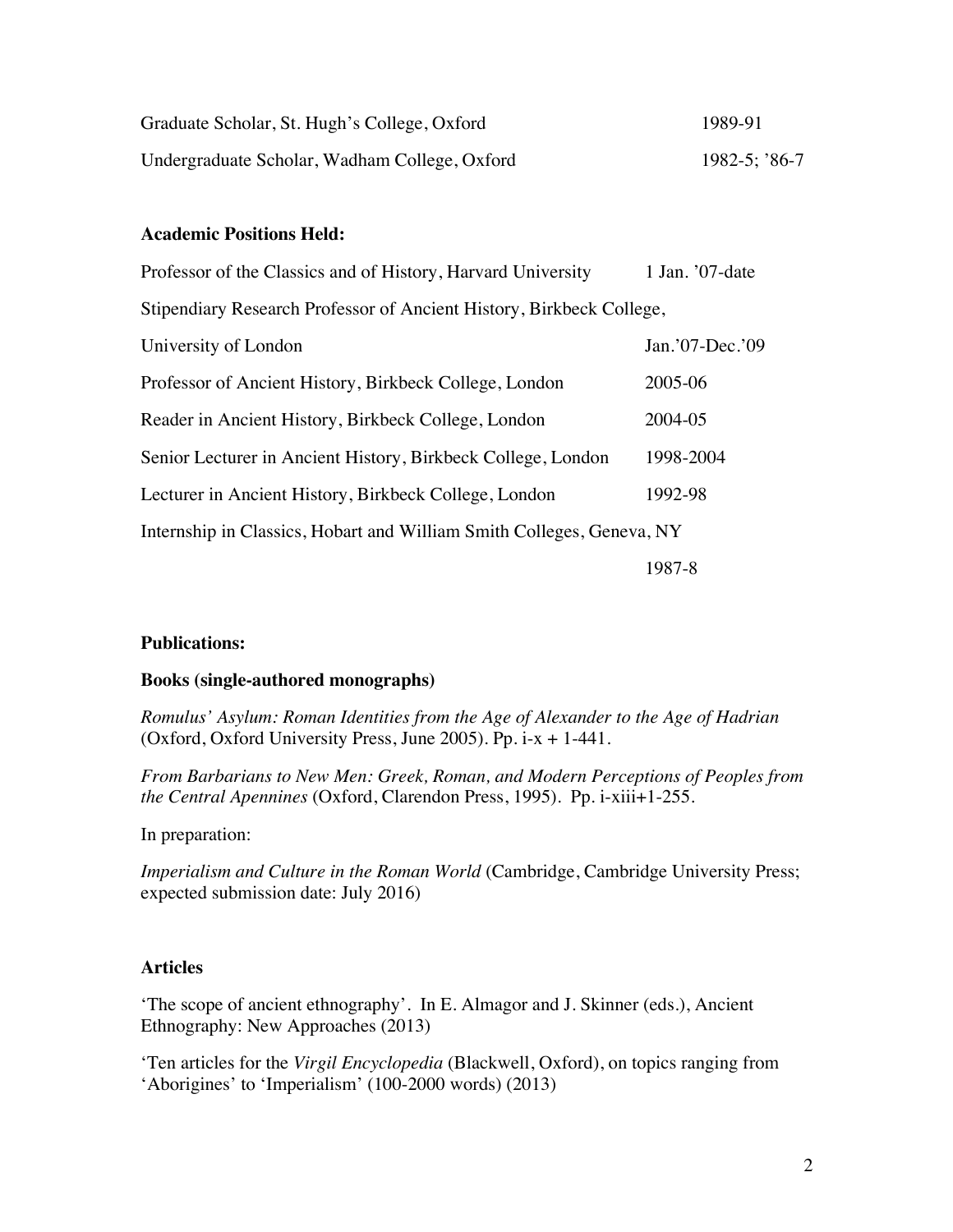| Graduate Scholar, St. Hugh's College, Oxford  | 1989-91            |
|-----------------------------------------------|--------------------|
| Undergraduate Scholar, Wadham College, Oxford | $1982 - 5$ ; '86-7 |

## **Academic Positions Held:**

| Professor of the Classics and of History, Harvard University          | 1 Jan. '07-date |  |  |
|-----------------------------------------------------------------------|-----------------|--|--|
| Stipendiary Research Professor of Ancient History, Birkbeck College,  |                 |  |  |
| University of London                                                  | Jan.'07-Dec.'09 |  |  |
| Professor of Ancient History, Birkbeck College, London                | 2005-06         |  |  |
| Reader in Ancient History, Birkbeck College, London                   | 2004-05         |  |  |
| Senior Lecturer in Ancient History, Birkbeck College, London          | 1998-2004       |  |  |
| Lecturer in Ancient History, Birkbeck College, London                 | 1992-98         |  |  |
| Internship in Classics, Hobart and William Smith Colleges, Geneva, NY |                 |  |  |
|                                                                       | 1987-8          |  |  |

## **Publications:**

#### **Books (single-authored monographs)**

*Romulus' Asylum: Roman Identities from the Age of Alexander to the Age of Hadrian* (Oxford, Oxford University Press, June 2005). Pp. i-x + 1-441.

*From Barbarians to New Men: Greek, Roman, and Modern Perceptions of Peoples from the Central Apennines* (Oxford, Clarendon Press, 1995). Pp. i-xiii+1-255.

In preparation:

*Imperialism and Culture in the Roman World* (Cambridge, Cambridge University Press; expected submission date: July 2016)

## **Articles**

'The scope of ancient ethnography'. In E. Almagor and J. Skinner (eds.), Ancient Ethnography: New Approaches (2013)

'Ten articles for the *Virgil Encyclopedia* (Blackwell, Oxford), on topics ranging from 'Aborigines' to 'Imperialism' (100-2000 words) (2013)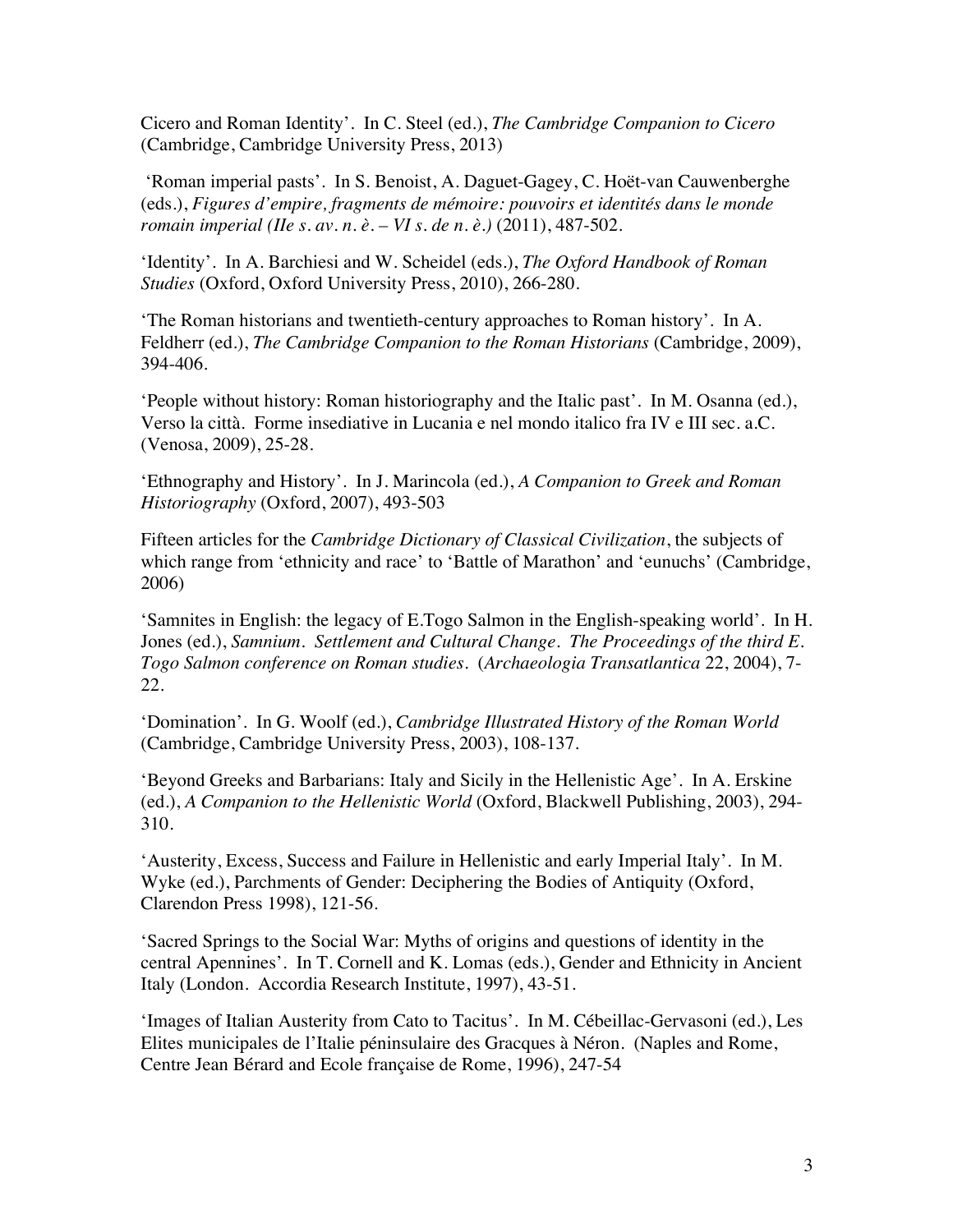Cicero and Roman Identity'. In C. Steel (ed.), *The Cambridge Companion to Cicero* (Cambridge, Cambridge University Press, 2013)

'Roman imperial pasts'. In S. Benoist, A. Daguet-Gagey, C. Hoët-van Cauwenberghe (eds.), *Figures d'empire, fragments de mémoire: pouvoirs et identités dans le monde romain imperial (IIe s. av. n. è. – VI s. de n. è.)* (2011), 487-502.

'Identity'. In A. Barchiesi and W. Scheidel (eds.), *The Oxford Handbook of Roman Studies* (Oxford, Oxford University Press, 2010), 266-280.

'The Roman historians and twentieth-century approaches to Roman history'. In A. Feldherr (ed.), *The Cambridge Companion to the Roman Historians* (Cambridge, 2009), 394-406.

'People without history: Roman historiography and the Italic past'. In M. Osanna (ed.), Verso la città. Forme insediative in Lucania e nel mondo italico fra IV e III sec. a.C. (Venosa, 2009), 25-28.

'Ethnography and History'. In J. Marincola (ed.), *A Companion to Greek and Roman Historiography* (Oxford, 2007), 493-503

Fifteen articles for the *Cambridge Dictionary of Classical Civilization*, the subjects of which range from 'ethnicity and race' to 'Battle of Marathon' and 'eunuchs' (Cambridge, 2006)

'Samnites in English: the legacy of E.Togo Salmon in the English-speaking world'. In H. Jones (ed.), *Samnium. Settlement and Cultural Change. The Proceedings of the third E. Togo Salmon conference on Roman studies*. (*Archaeologia Transatlantica* 22, 2004), 7- 22.

'Domination'. In G. Woolf (ed.), *Cambridge Illustrated History of the Roman World* (Cambridge, Cambridge University Press, 2003), 108-137.

'Beyond Greeks and Barbarians: Italy and Sicily in the Hellenistic Age'. In A. Erskine (ed.), *A Companion to the Hellenistic World* (Oxford, Blackwell Publishing, 2003), 294- 310.

'Austerity, Excess, Success and Failure in Hellenistic and early Imperial Italy'. In M. Wyke (ed.), Parchments of Gender: Deciphering the Bodies of Antiquity (Oxford, Clarendon Press 1998), 121-56.

'Sacred Springs to the Social War: Myths of origins and questions of identity in the central Apennines'. In T. Cornell and K. Lomas (eds.), Gender and Ethnicity in Ancient Italy (London. Accordia Research Institute, 1997), 43-51.

'Images of Italian Austerity from Cato to Tacitus'. In M. Cébeillac-Gervasoni (ed.), Les Elites municipales de l'Italie péninsulaire des Gracques à Néron. (Naples and Rome, Centre Jean Bérard and Ecole française de Rome, 1996), 247-54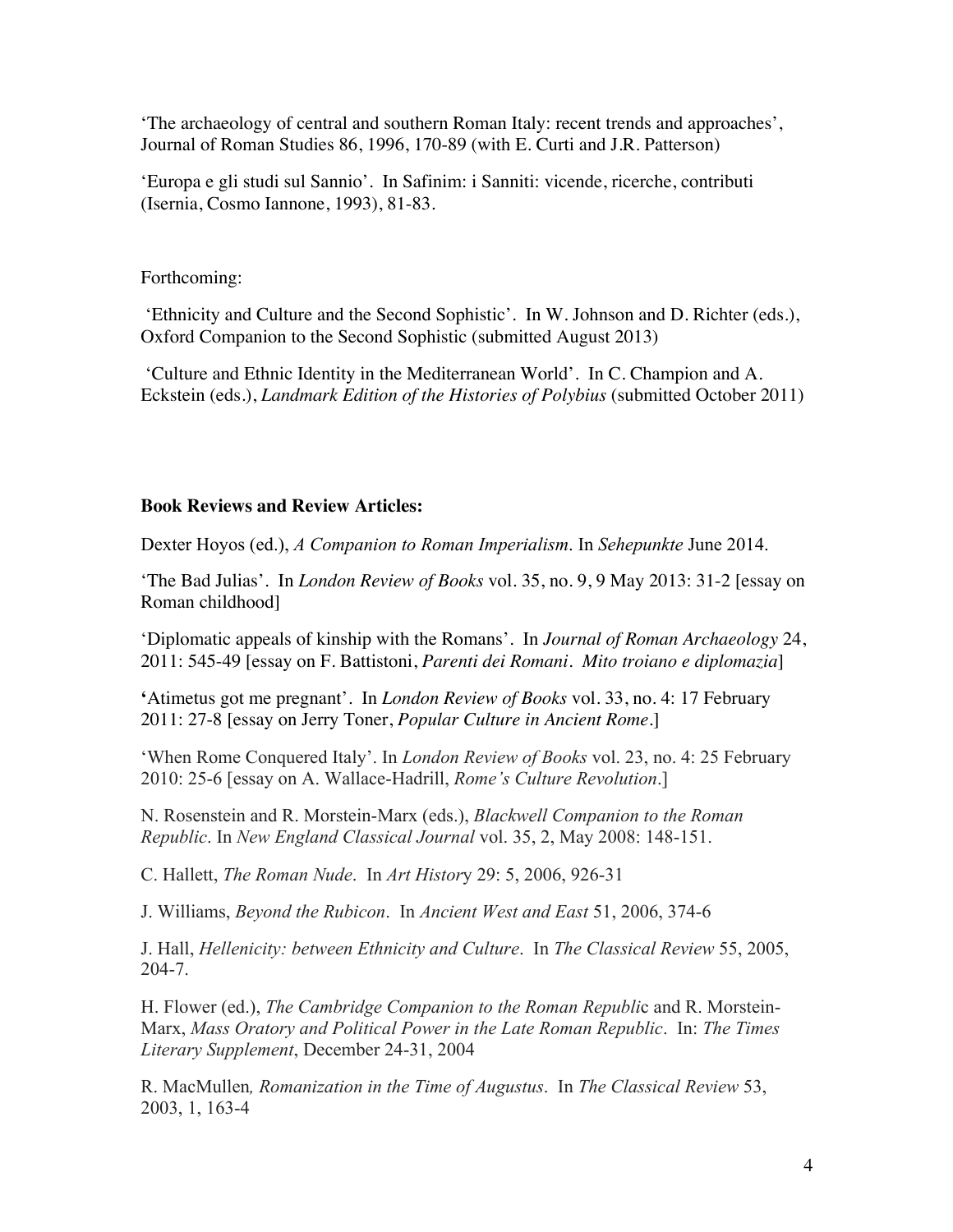'The archaeology of central and southern Roman Italy: recent trends and approaches', Journal of Roman Studies 86, 1996, 170-89 (with E. Curti and J.R. Patterson)

'Europa e gli studi sul Sannio'. In Safinim: i Sanniti: vicende, ricerche, contributi (Isernia, Cosmo Iannone, 1993), 81-83.

Forthcoming:

'Ethnicity and Culture and the Second Sophistic'. In W. Johnson and D. Richter (eds.), Oxford Companion to the Second Sophistic (submitted August 2013)

'Culture and Ethnic Identity in the Mediterranean World'. In C. Champion and A. Eckstein (eds.), *Landmark Edition of the Histories of Polybius* (submitted October 2011)

#### **Book Reviews and Review Articles:**

Dexter Hoyos (ed.), *A Companion to Roman Imperialism*. In *Sehepunkte* June 2014.

'The Bad Julias'. In *London Review of Books* vol. 35, no. 9, 9 May 2013: 31-2 [essay on Roman childhood]

'Diplomatic appeals of kinship with the Romans'. In *Journal of Roman Archaeology* 24, 2011: 545-49 [essay on F. Battistoni, *Parenti dei Romani. Mito troiano e diplomazia*]

**'**Atimetus got me pregnant'. In *London Review of Books* vol. 33, no. 4: 17 February 2011: 27-8 [essay on Jerry Toner, *Popular Culture in Ancient Rome*.]

'When Rome Conquered Italy'. In *London Review of Books* vol. 23, no. 4: 25 February 2010: 25-6 [essay on A. Wallace-Hadrill, *Rome's Culture Revolution*.]

N. Rosenstein and R. Morstein-Marx (eds.), *Blackwell Companion to the Roman Republic*. In *New England Classical Journal* vol. 35, 2, May 2008: 148-151.

C. Hallett, *The Roman Nude*. In *Art Histor*y 29: 5, 2006, 926-31

J. Williams, *Beyond the Rubicon*. In *Ancient West and East* 51, 2006, 374-6

J. Hall, *Hellenicity: between Ethnicity and Culture*. In *The Classical Review* 55, 2005, 204-7.

H. Flower (ed.), *The Cambridge Companion to the Roman Republi*c and R. Morstein-Marx, *Mass Oratory and Political Power in the Late Roman Republic*. In: *The Times Literary Supplement*, December 24-31, 2004

R. MacMullen*, Romanization in the Time of Augustus*. In *The Classical Review* 53, 2003, 1, 163-4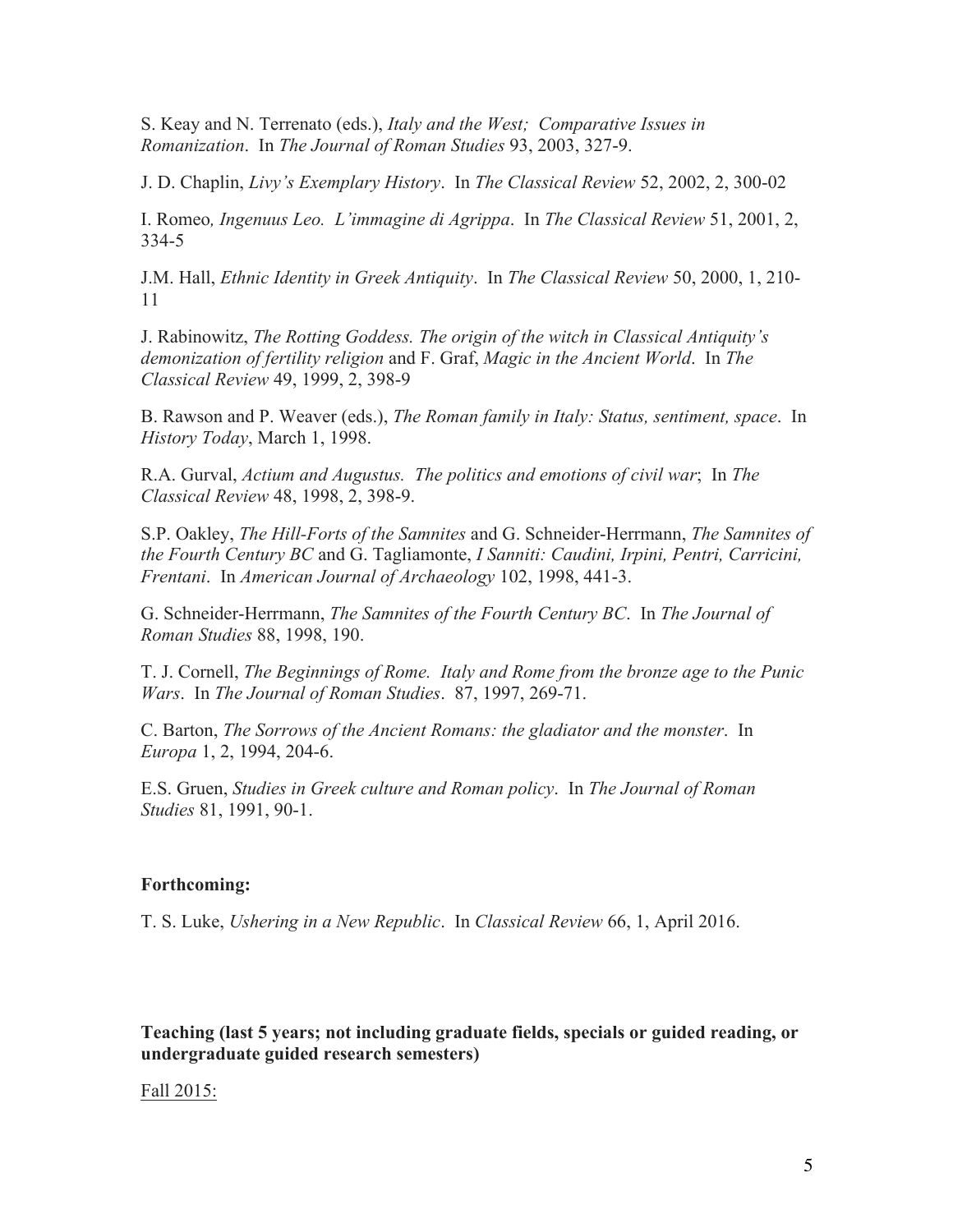S. Keay and N. Terrenato (eds.), *Italy and the West; Comparative Issues in Romanization*. In *The Journal of Roman Studies* 93, 2003, 327-9.

J. D. Chaplin, *Livy's Exemplary History*. In *The Classical Review* 52, 2002, 2, 300-02

I. Romeo*, Ingenuus Leo. L'immagine di Agrippa*. In *The Classical Review* 51, 2001, 2, 334-5

J.M. Hall, *Ethnic Identity in Greek Antiquity*. In *The Classical Review* 50, 2000, 1, 210- 11

J. Rabinowitz, *The Rotting Goddess. The origin of the witch in Classical Antiquity's demonization of fertility religion* and F. Graf, *Magic in the Ancient World*. In *The Classical Review* 49, 1999, 2, 398-9

B. Rawson and P. Weaver (eds.), *The Roman family in Italy: Status, sentiment, space*. In *History Today*, March 1, 1998.

R.A. Gurval, *Actium and Augustus. The politics and emotions of civil war*; In *The Classical Review* 48, 1998, 2, 398-9.

S.P. Oakley, *The Hill-Forts of the Samnites* and G. Schneider-Herrmann, *The Samnites of the Fourth Century BC* and G. Tagliamonte, *I Sanniti: Caudini, Irpini, Pentri, Carricini, Frentani*. In *American Journal of Archaeology* 102, 1998, 441-3.

G. Schneider-Herrmann, *The Samnites of the Fourth Century BC*. In *The Journal of Roman Studies* 88, 1998, 190.

T. J. Cornell, *The Beginnings of Rome. Italy and Rome from the bronze age to the Punic Wars*. In *The Journal of Roman Studies*. 87, 1997, 269-71.

C. Barton, *The Sorrows of the Ancient Romans: the gladiator and the monster*. In *Europa* 1, 2, 1994, 204-6.

E.S. Gruen, *Studies in Greek culture and Roman policy*. In *The Journal of Roman Studies* 81, 1991, 90-1.

#### **Forthcoming:**

T. S. Luke, *Ushering in a New Republic*. In *Classical Review* 66, 1, April 2016.

**Teaching (last 5 years; not including graduate fields, specials or guided reading, or undergraduate guided research semesters)** 

#### Fall 2015: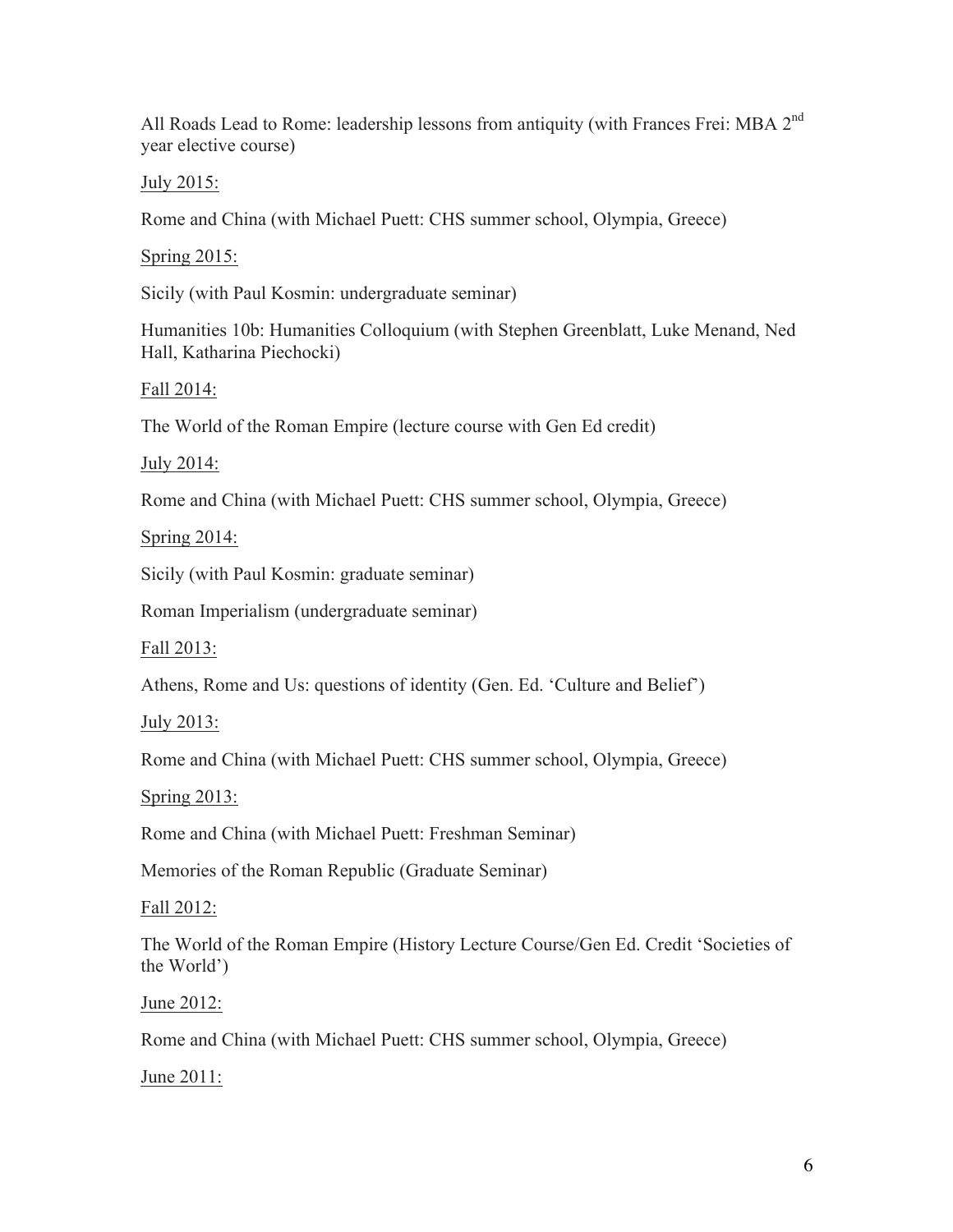All Roads Lead to Rome: leadership lessons from antiquity (with Frances Frei: MBA 2nd year elective course)

July 2015:

Rome and China (with Michael Puett: CHS summer school, Olympia, Greece)

Spring 2015:

Sicily (with Paul Kosmin: undergraduate seminar)

Humanities 10b: Humanities Colloquium (with Stephen Greenblatt, Luke Menand, Ned Hall, Katharina Piechocki)

Fall 2014:

The World of the Roman Empire (lecture course with Gen Ed credit)

July 2014:

Rome and China (with Michael Puett: CHS summer school, Olympia, Greece)

Spring 2014:

Sicily (with Paul Kosmin: graduate seminar)

Roman Imperialism (undergraduate seminar)

Fall 2013:

Athens, Rome and Us: questions of identity (Gen. Ed. 'Culture and Belief')

July 2013:

Rome and China (with Michael Puett: CHS summer school, Olympia, Greece)

Spring 2013:

Rome and China (with Michael Puett: Freshman Seminar)

Memories of the Roman Republic (Graduate Seminar)

Fall 2012:

The World of the Roman Empire (History Lecture Course/Gen Ed. Credit 'Societies of the World')

June 2012:

Rome and China (with Michael Puett: CHS summer school, Olympia, Greece)

June 2011: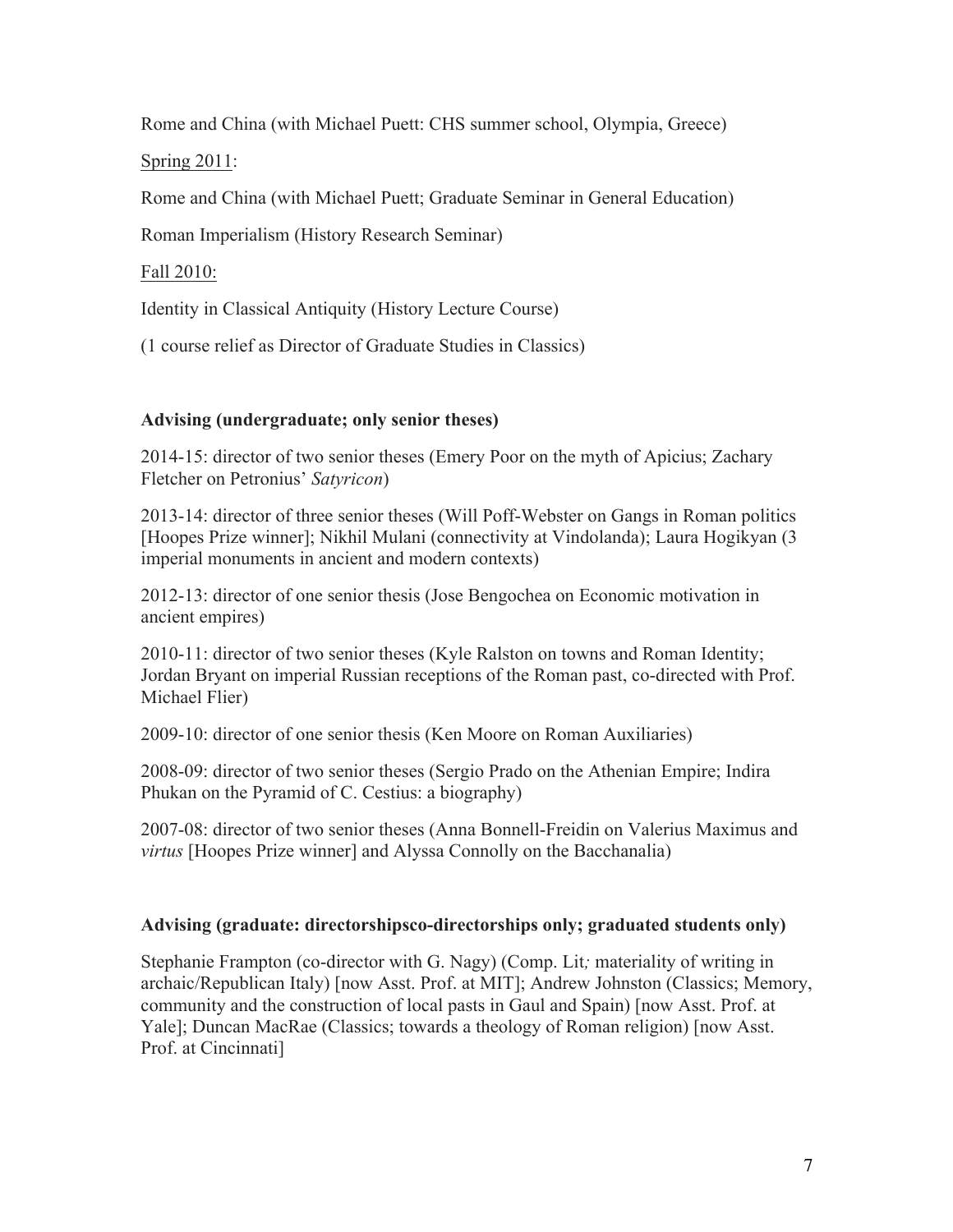Rome and China (with Michael Puett: CHS summer school, Olympia, Greece)

Spring 2011:

Rome and China (with Michael Puett; Graduate Seminar in General Education)

Roman Imperialism (History Research Seminar)

Fall 2010:

Identity in Classical Antiquity (History Lecture Course)

(1 course relief as Director of Graduate Studies in Classics)

# **Advising (undergraduate; only senior theses)**

2014-15: director of two senior theses (Emery Poor on the myth of Apicius; Zachary Fletcher on Petronius' *Satyricon*)

2013-14: director of three senior theses (Will Poff-Webster on Gangs in Roman politics [Hoopes Prize winner]; Nikhil Mulani (connectivity at Vindolanda); Laura Hogikyan (3 imperial monuments in ancient and modern contexts)

2012-13: director of one senior thesis (Jose Bengochea on Economic motivation in ancient empires)

2010-11: director of two senior theses (Kyle Ralston on towns and Roman Identity; Jordan Bryant on imperial Russian receptions of the Roman past, co-directed with Prof. Michael Flier)

2009-10: director of one senior thesis (Ken Moore on Roman Auxiliaries)

2008-09: director of two senior theses (Sergio Prado on the Athenian Empire; Indira Phukan on the Pyramid of C. Cestius: a biography)

2007-08: director of two senior theses (Anna Bonnell-Freidin on Valerius Maximus and *virtus* [Hoopes Prize winner] and Alyssa Connolly on the Bacchanalia)

## **Advising (graduate: directorshipsco-directorships only; graduated students only)**

Stephanie Frampton (co-director with G. Nagy) (Comp. Lit*;* materiality of writing in archaic/Republican Italy) [now Asst. Prof. at MIT]; Andrew Johnston (Classics; Memory, community and the construction of local pasts in Gaul and Spain) [now Asst. Prof. at Yale]; Duncan MacRae (Classics; towards a theology of Roman religion) [now Asst. Prof. at Cincinnati]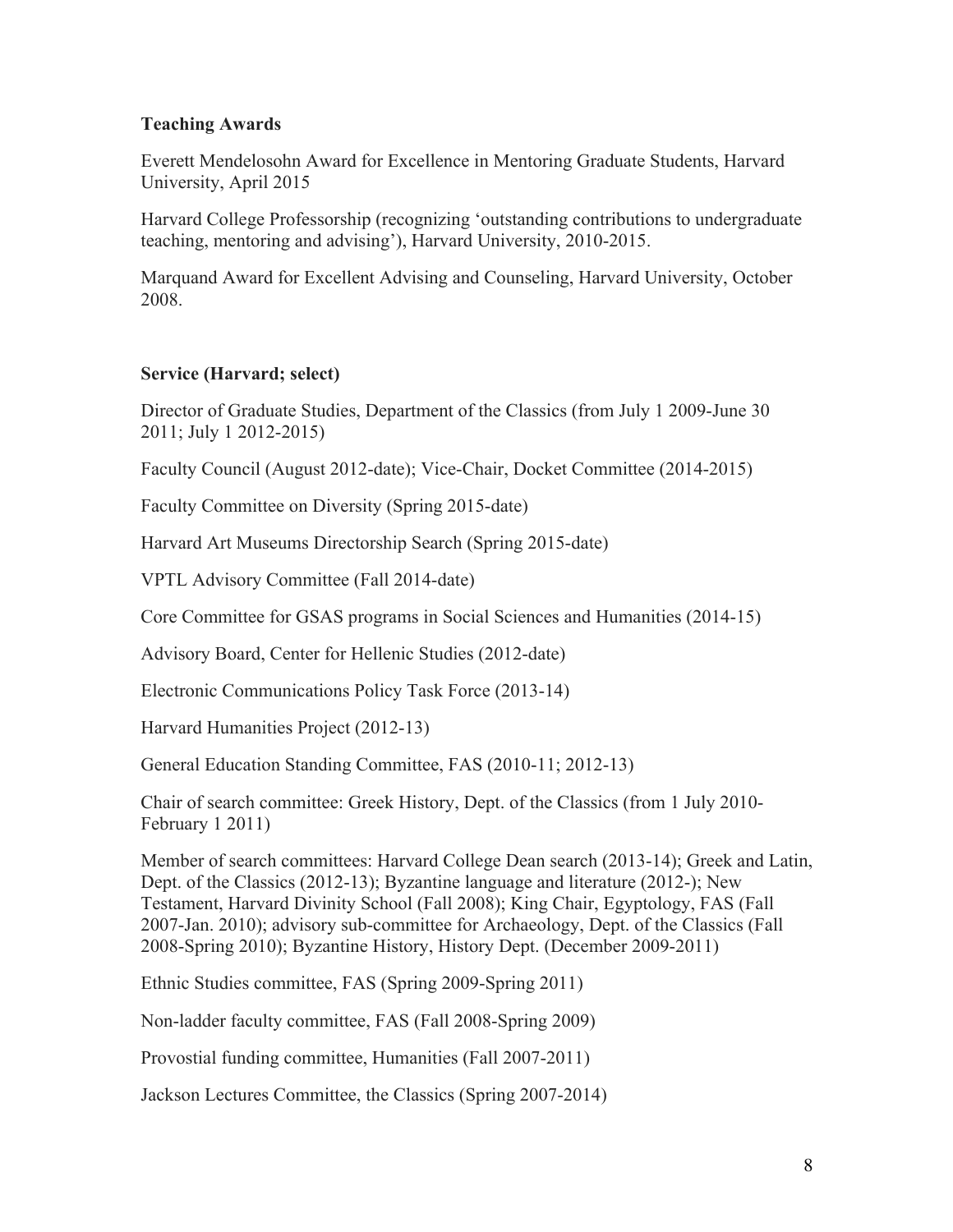## **Teaching Awards**

Everett Mendelosohn Award for Excellence in Mentoring Graduate Students, Harvard University, April 2015

Harvard College Professorship (recognizing 'outstanding contributions to undergraduate teaching, mentoring and advising'), Harvard University, 2010-2015.

Marquand Award for Excellent Advising and Counseling, Harvard University, October 2008.

# **Service (Harvard; select)**

Director of Graduate Studies, Department of the Classics (from July 1 2009-June 30 2011; July 1 2012-2015)

Faculty Council (August 2012-date); Vice-Chair, Docket Committee (2014-2015)

Faculty Committee on Diversity (Spring 2015-date)

Harvard Art Museums Directorship Search (Spring 2015-date)

VPTL Advisory Committee (Fall 2014-date)

Core Committee for GSAS programs in Social Sciences and Humanities (2014-15)

Advisory Board, Center for Hellenic Studies (2012-date)

Electronic Communications Policy Task Force (2013-14)

Harvard Humanities Project (2012-13)

General Education Standing Committee, FAS (2010-11; 2012-13)

Chair of search committee: Greek History, Dept. of the Classics (from 1 July 2010- February 1 2011)

Member of search committees: Harvard College Dean search (2013-14); Greek and Latin, Dept. of the Classics (2012-13); Byzantine language and literature (2012-); New Testament, Harvard Divinity School (Fall 2008); King Chair, Egyptology, FAS (Fall 2007-Jan. 2010); advisory sub-committee for Archaeology, Dept. of the Classics (Fall 2008-Spring 2010); Byzantine History, History Dept. (December 2009-2011)

Ethnic Studies committee, FAS (Spring 2009-Spring 2011)

Non-ladder faculty committee, FAS (Fall 2008-Spring 2009)

Provostial funding committee, Humanities (Fall 2007-2011)

Jackson Lectures Committee, the Classics (Spring 2007-2014)